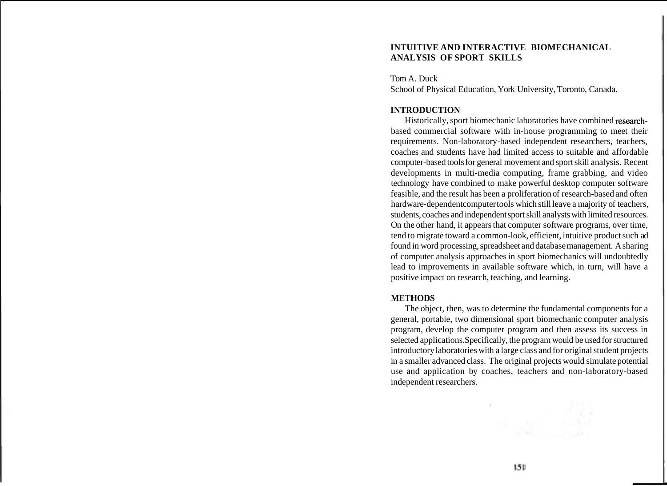### **INTUITIVE AND INTERACTIVE BIOMECHANICAL ANALYSIS OF SPORT SKILLS**

Tom A. Duck School of Physical Education, York University, Toronto, Canada.

#### **INTRODUCTION**

Historically, sport biomechanic laboratories have combined researchbased commercial software with in-house programming to meet their requirements. Non-laboratory-based independent researchers, teachers, coaches and students have had limited access to suitable and affordable computer-based tools for general movement and sport skill analysis. Recent developments in multi-media computing, frame grabbing, and video technology have combined to make powerful desktop computer software feasible, and the result has been a proliferation of research-based and often hardware-dependent computer tools which still leave a majority of teachers, students, coaches and independent sport skill analysts with limited resources. On the other hand, it appears that computer software programs, over time, tend to migrate toward a common-look, efficient, intuitive product such ad found in word processing, spreadsheet and database management. A sharing of computer analysis approaches in sport biomechanics will undoubtedly lead to improvements in available software which, in turn, will have a positive impact on research, teaching, and learning.

#### **METHODS**

The object, then, was to determine the fundamental components for a general, portable, two dimensional sport biomechanic computer analysis program, develop the computer program and then assess its success in selected applications. Specifically, the program would be used for structured introductory laboratories with a large class and for original student projects in a smaller advanced class. The original projects would simulate potential use and application by coaches, teachers and non-laboratory-based independent researchers.

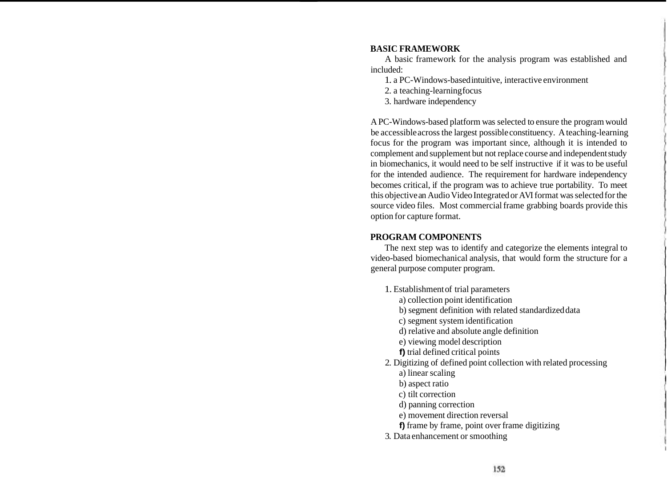# **BASIC FRAMEWORK**

A basic framework for the analysis program was established and included:

- 1. a PC-Windows-based intuitive, interactive environment
- 2. a teaching-learning focus
- 3. hardware independency

A PC-Windows-based platform was selected to ensure the program would be accessible across the largest possible constituency. A teaching-learning focus for the program was important since, although it is intended to complement and supplement but not replace course and independent study in biomechanics, it would need to be self instructive if it was to be useful for the intended audience. The requirement for hardware independency becomes critical, if the program was to achieve true portability. To meet this objective an Audio Video Integrated or AVI format was selected for the source video files. Most commercial frame grabbing boards provide this option for capture format.

# **PROGRAM COMPONENTS**

The next step was to identify and categorize the elements integral to video-based biomechanical analysis, that would form the structure for a general purpose computer program.

- 1. Establishment of trial parameters
	- a) collection point identification
	- b) segment definition with related standardized data
	- c) segment system identification
	- d) relative and absolute angle definition
	- e) viewing model description
	- **f)** trial defined critical points
- 2. Digitizing of defined point collection with related processing
	- a) linear scaling
	- b) aspect ratio
	- c) tilt correction
	- d) panning correction
	- e) movement direction reversal
	- **f)** frame by frame, point over frame digitizing
- 3. Data enhancement or smoothing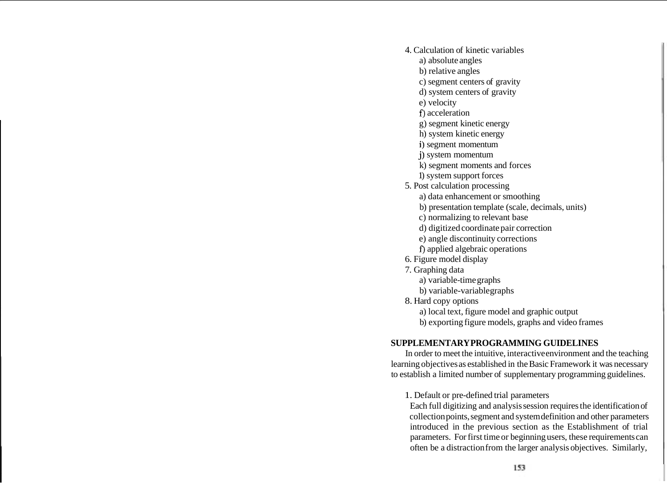- 4. Calculation of kinetic variables
	- a) absolute angles
	- b) relative angles
	- c) segment centers of gravity
	- d) system centers of gravity
	- e) velocity
	- **f)** acceleration
	- g) segment kinetic energy
	- h) system kinetic energy
	- i) segment momentum
	- j) system momentum
	- k) segment moments and forces
	- 1) system support forces
- 5. Post calculation processing
	- a) data enhancement or smoothing
	- b) presentation template (scale, decimals, units)
	- c) normalizing to relevant base
	- d) digitized coordinate pair correction
	- e) angle discontinuity corrections
	- **f)** applied algebraic operations
- 6. Figure model display
- 7. Graphing data
	- a) variable-time graphs
	- b) variable-variable graphs
- 8. Hard copy options
	- a) local text, figure model and graphic output
	- b) exporting figure models, graphs and video frames

#### **SUPPLEMENTARY PROGRAMMING GUIDELINES**

In order to meet the intuitive, interactive environment and the teaching learning objectives as established in the Basic Framework it was necessary to establish a limited number of supplementary programming guidelines.

1. Default or pre-defined trial parameters

Each full digitizing and analysis session requires the identification of collection points, segment and system definition and other parameters introduced in the previous section as the Establishment of trial parameters. For first time or beginning users, these requirements can often be a distraction from the larger analysis objectives. Similarly,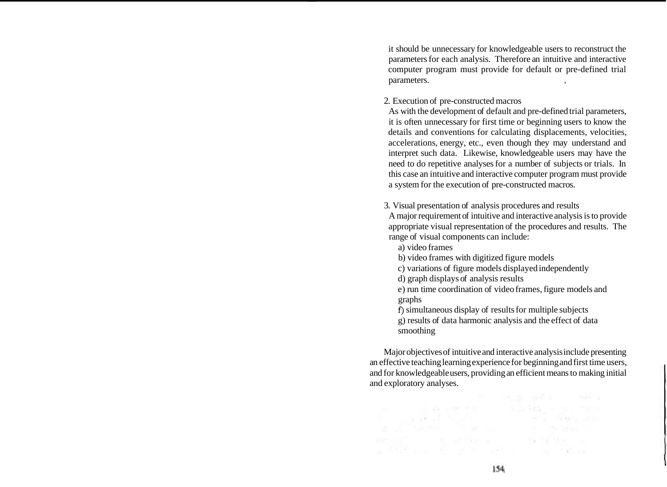it should be unnecessary for knowledgeable users to reconstruct the parameters for each analysis. Therefore an intuitive and interactive computer program must provide for default or pre-defined trial parameters.

2. Execution of pre-constructed macros

As with the development of default and pre-defined trial parameters, it is often unnecessary for first time or beginning users to know the details and conventions for calculating displacements, velocities, accelerations, energy, etc., even though they may understand and interpret such data. Likewise, knowledgeable users may have the need to do repetitive analyses for a number of subjects or trials. In this case an intuitive and interactive computer program must provide a system for the execution of pre-constructed macros.

3. Visual presentation of analysis procedures and results

A major requirement of intuitive and interactive analysis is to provide appropriate visual representation of the procedures and results. The range of visual components can include:

- a) video frames
- b) video frames with digitized figure models
- c) variations of figure models displayed independently
- d) graph displays of analysis results
- e) run time coordination of video frames, figure models and graphs

**f)** simultaneous display of results for multiple subjects g) results of data harmonic analysis and the effect of data smoothing

Major objectives of intuitive and interactive analysis include presenting an effective teaching learning experience for beginning and first time users, and for knowledgeable users, providing an efficient means to making initial and exploratory analyses.

est at the angle